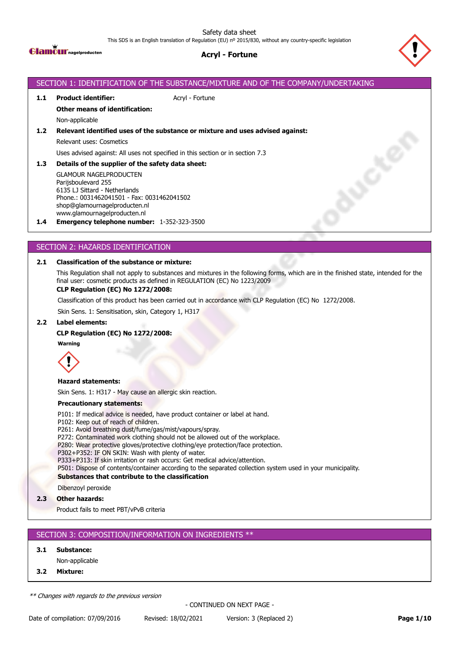Safety data sheet

This SDS is an English translation of Regulation (EU) nº 2015/830, without any country-specific legislation



## **Acryl - Fortune**



# SECTION 1: IDENTIFICATION OF THE SUBSTANCE/MIXTURE AND OF THE COMPANY/UNDERTAKING **1.1 Product identifier:** Acryl - Fortune **Other means of identification:** Non-applicable **1.2 Relevant identified uses of the substance or mixture and uses advised against:** Relevant uses: Cosmetics Uses advised against: All uses not specified in this section or in section 7.3 **BUSCA 1.3 Details of the supplier of the safety data sheet:** GLAMOUR NAGELPRODUCTEN Parijsboulevard 255 6135 LJ Sittard - Netherlands Phone.: 0031462041501 - Fax: 0031462041502 shop@glamournagelproducten.nl www.glamournagelproducten.nl **1.4 Emergency telephone number:** 1-352-323-3500

## SECTION 2: HAZARDS IDENTIFICATION

### **2.1 Classification of the substance or mixture:**

This Regulation shall not apply to substances and mixtures in the following forms, which are in the finished state, intended for the final user: cosmetic products as defined in REGULATION (EC) No 1223/2009

#### **CLP Regulation (EC) No 1272/2008:**

Classification of this product has been carried out in accordance with CLP Regulation (EC) No 1272/2008.

Skin Sens. 1: Sensitisation, skin, Category 1, H317

#### **2.2 Label elements:**

#### **CLP Regulation (EC) No 1272/2008:**

**Warning**



#### **Hazard statements:**

Skin Sens. 1: H317 - May cause an allergic skin reaction.

#### **Precautionary statements:**

P101: If medical advice is needed, have product container or label at hand.

- P102: Keep out of reach of children.
- P261: Avoid breathing dust/fume/gas/mist/vapours/spray.
- P272: Contaminated work clothing should not be allowed out of the workplace.
- P280: Wear protective gloves/protective clothing/eye protection/face protection.
- P302+P352: IF ON SKIN: Wash with plenty of water.
- P333+P313: If skin irritation or rash occurs: Get medical advice/attention.

P501: Dispose of contents/container according to the separated collection system used in your municipality.

#### **Substances that contribute to the classification**

Dibenzoyl peroxide

**2.3 Other hazards:**

Product fails to meet PBT/vPvB criteria

### SECTION 3: COMPOSITION/INFORMATION ON INGREDIENTS \*\*

#### **3.1 Substance:**

Non-applicable

**3.2 Mixture:**

*\*\* Changes with regards to the previous version*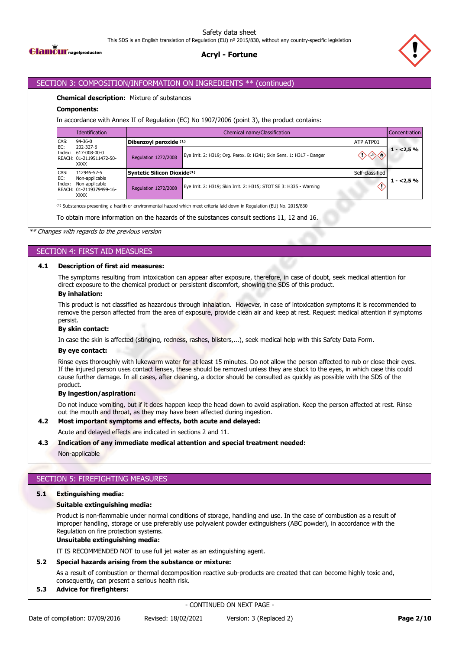

# **Acryl - Fortune**



### SECTION 3: COMPOSITION/INFORMATION ON INGREDIENTS \*\* (continued)

#### **Chemical description:** Mixture of substances

#### **Components:**

In accordance with Annex II of Regulation (EC) No 1907/2006 (point 3), the product contains:

|               | <b>Identification</b>                                                                      | Chemical name/Classification<br>Concentration |                                                                      |                 |             |  |  |
|---------------|--------------------------------------------------------------------------------------------|-----------------------------------------------|----------------------------------------------------------------------|-----------------|-------------|--|--|
| CAS:          | $94 - 36 - 0$                                                                              | Dibenzoyl peroxide (1)                        | ATP ATP01                                                            |                 |             |  |  |
| EC:<br>Index: | 202-327-6<br>617-008-00-0<br>REACH: 01-2119511472-50-<br><b>XXXX</b>                       | Regulation 1272/2008                          | Eye Irrit. 2: H319; Org. Perox. B: H241; Skin Sens. 1: H317 - Danger |                 | $1 - 2,5\%$ |  |  |
| CAS:          | 112945-52-5<br>Non-applicable<br>Non-applicable<br>REACH: 01-2119379499-16-<br><b>XXXX</b> | Syntetic Silicon Dioxide <sup>(1)</sup>       |                                                                      | Self-classified |             |  |  |
| EC:<br>Index: |                                                                                            |                                               |                                                                      |                 |             |  |  |
|               |                                                                                            | <b>Regulation 1272/2008</b>                   | Eye Irrit. 2: H319; Skin Irrit. 2: H315; STOT SE 3: H335 - Warning   |                 | $1 - 2.5%$  |  |  |

To obtain more information on the hazards of the substances consult sections 11, 12 and 16.

*\*\* Changes with regards to the previous version*

## SECTION 4: FIRST AID MEASURES

#### **4.1 Description of first aid measures:**

The symptoms resulting from intoxication can appear after exposure, therefore, in case of doubt, seek medical attention for direct exposure to the chemical product or persistent discomfort, showing the SDS of this product.

#### **By inhalation:**

This product is not classified as hazardous through inhalation. However, in case of intoxication symptoms it is recommended to remove the person affected from the area of exposure, provide clean air and keep at rest. Request medical attention if symptoms persist.

#### **By skin contact:**

In case the skin is affected (stinging, redness, rashes, blisters,...), seek medical help with this Safety Data Form.

#### **By eye contact:**

Rinse eyes thoroughly with lukewarm water for at least 15 minutes. Do not allow the person affected to rub or close their eyes. If the injured person uses contact lenses, these should be removed unless they are stuck to the eyes, in which case this could cause further damage. In all cases, after cleaning, a doctor should be consulted as quickly as possible with the SDS of the product.

#### **By ingestion/aspiration:**

Do not induce vomiting, but if it does happen keep the head down to avoid aspiration. Keep the person affected at rest. Rinse out the mouth and throat, as they may have been affected during ingestion.

#### **4.2 Most important symptoms and effects, both acute and delayed:**

Acute and delayed effects are indicated in sections 2 and 11.

#### **4.3 Indication of any immediate medical attention and special treatment needed:**

Non-applicable

### SECTION 5: FIREFIGHTING MEASURES

#### **5.1 Extinguishing media:**

#### **Suitable extinguishing media:**

Product is non-flammable under normal conditions of storage, handling and use. In the case of combustion as a result of improper handling, storage or use preferably use polyvalent powder extinguishers (ABC powder), in accordance with the Regulation on fire protection systems.

### **Unsuitable extinguishing media:**

IT IS RECOMMENDED NOT to use full jet water as an extinguishing agent.

#### **5.2 Special hazards arising from the substance or mixture:**

As a result of combustion or thermal decomposition reactive sub-products are created that can become highly toxic and, consequently, can present a serious health risk.

#### **5.3 Advice for firefighters:**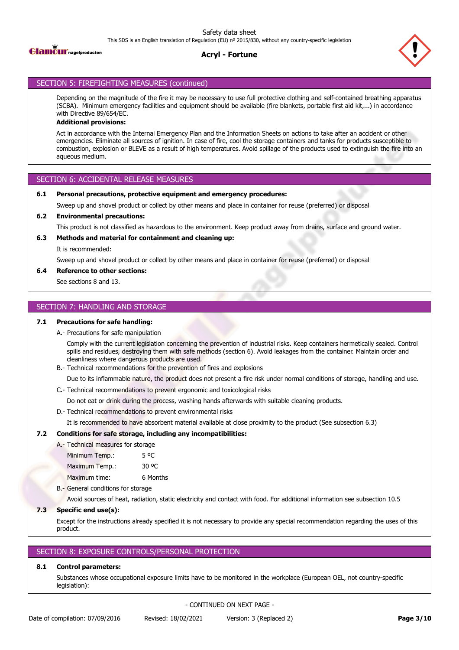



## SECTION 5: FIREFIGHTING MEASURES (continued)

Depending on the magnitude of the fire it may be necessary to use full protective clothing and self-contained breathing apparatus (SCBA). Minimum emergency facilities and equipment should be available (fire blankets, portable first aid kit,...) in accordance with Directive 89/654/EC.

## **Additional provisions:**

Act in accordance with the Internal Emergency Plan and the Information Sheets on actions to take after an accident or other emergencies. Eliminate all sources of ignition. In case of fire, cool the storage containers and tanks for products susceptible to combustion, explosion or BLEVE as a result of high temperatures. Avoid spillage of the products used to extinguish the fire into an aqueous medium.

## SECTION 6: ACCIDENTAL RELEASE MEASURES

### **6.1 Personal precautions, protective equipment and emergency procedures:**

Sweep up and shovel product or collect by other means and place in container for reuse (preferred) or disposal

### **6.2 Environmental precautions:**

This product is not classified as hazardous to the environment. Keep product away from drains, surface and ground water.

### **6.3 Methods and material for containment and cleaning up:**

It is recommended:

Sweep up and shovel product or collect by other means and place in container for reuse (preferred) or disposal

### **6.4 Reference to other sections:**

See sections 8 and 13.

### SECTION 7: HANDLING AND STORAGE

### **7.1 Precautions for safe handling:**

A.- Precautions for safe manipulation

Comply with the current legislation concerning the prevention of industrial risks. Keep containers hermetically sealed. Control spills and residues, destroying them with safe methods (section 6). Avoid leakages from the container. Maintain order and cleanliness where dangerous products are used.

B.- Technical recommendations for the prevention of fires and explosions

Due to its inflammable nature, the product does not present a fire risk under normal conditions of storage, handling and use.

C.- Technical recommendations to prevent ergonomic and toxicological risks

Do not eat or drink during the process, washing hands afterwards with suitable cleaning products.

D.- Technical recommendations to prevent environmental risks

It is recommended to have absorbent material available at close proximity to the product (See subsection 6.3)

### **7.2 Conditions for safe storage, including any incompatibilities:**

A.- Technical measures for storage Minimum Temp.: 5 °C Maximum Temp.: 30 °C Maximum time: 6 Months

B.- General conditions for storage

Avoid sources of heat, radiation, static electricity and contact with food. For additional information see subsection 10.5

## **7.3 Specific end use(s):**

Except for the instructions already specified it is not necessary to provide any special recommendation regarding the uses of this product.

### SECTION 8: EXPOSURE CONTROLS/PERSONAL PROTECTION

## **8.1 Control parameters:**

Substances whose occupational exposure limits have to be monitored in the workplace (European OEL, not country-specific legislation):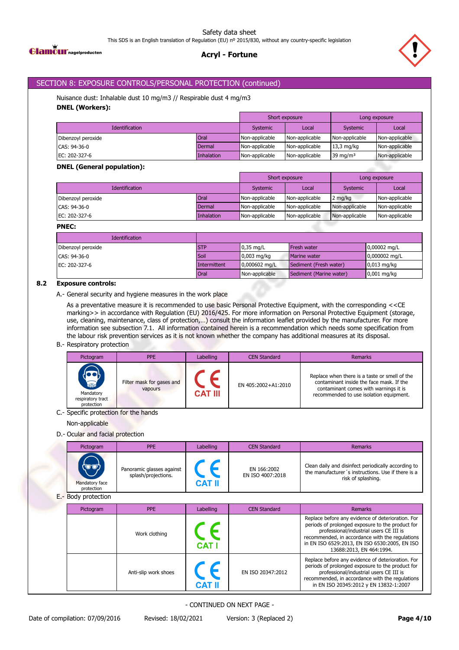



# SECTION 8: EXPOSURE CONTROLS/PERSONAL PROTECTION (continued)

Nuisance dust: Inhalable dust 10 mg/m3 // Respirable dust 4 mg/m3 **DNEL (Workers):**

|                       |            | Short exposure |                | Long exposure  |                |
|-----------------------|------------|----------------|----------------|----------------|----------------|
| <b>Identification</b> |            | Systemic       | Local          | Systemic       | Local          |
| Dibenzoyl peroxide    | Oral       | Non-applicable | Non-applicable | Non-applicable | Non-applicable |
| CAS: 94-36-0          | Dermal     | Non-applicable | Non-applicable | $13,3$ mg/kg   | Non-applicable |
| EC: 202-327-6         | Inhalation | Non-applicable | Non-applicable | 39 mg/m $3$    | Non-applicable |

### **DNEL (General population):**

|                               |             | Short exposure |                | Long exposure  |                |
|-------------------------------|-------------|----------------|----------------|----------------|----------------|
| <b>Identification</b>         |             | Systemic       | Local          | Systemic       | Local          |
| Dibenzoyl peroxide            | <b>Oral</b> | Non-applicable | Non-applicable | 2 mg/kg        | Non-applicable |
| CAS: 94-36-0                  | Dermal      | Non-applicable | Non-applicable | Non-applicable | Non-applicable |
| EC: $202-327-6$<br>Inhalation |             | Non-applicable | Non-applicable | Non-applicable | Non-applicable |

### **PNEC:**

| <b>Identification</b> |              |                         |                         |                          |
|-----------------------|--------------|-------------------------|-------------------------|--------------------------|
| Dibenzoyl peroxide    | <b>STP</b>   | $0.35$ mg/L             | <b>Fresh water</b>      | $0,00002 \text{ mg/L}$   |
| CAS: 94-36-0          | Soil         | $0.003$ mg/kg           | Marine water            | $0,000002 \,\text{mg/L}$ |
| EC: 202-327-6         | Intermittent | $0,000602 \text{ mg/L}$ | Sediment (Fresh water)  | $0,013$ mg/kg            |
|                       | Oral         | Non-applicable          | Sediment (Marine water) | $0,001$ mg/kg            |

### **8.2 Exposure controls:**

A.- General security and hygiene measures in the work place

As a preventative measure it is recommended to use basic Personal Protective Equipment, with the corresponding <<CE marking>> in accordance with Regulation (EU) 2016/425. For more information on Personal Protective Equipment (storage, use, cleaning, maintenance, class of protection,…) consult the information leaflet provided by the manufacturer. For more information see subsection 7.1. All information contained herein is a recommendation which needs some specification from the labour risk prevention services as it is not known whether the company has additional measures at its disposal.

### B.- Respiratory protection

| Pictogram                                                       | <b>PPE</b>                           | Labelling      | <b>CEN Standard</b> | Remarks                                                                                                                                                                       |
|-----------------------------------------------------------------|--------------------------------------|----------------|---------------------|-------------------------------------------------------------------------------------------------------------------------------------------------------------------------------|
| <b>RESPONSE</b><br>Mandatory<br>respiratory tract<br>protection | Filter mask for gases and<br>vapours | <b>CAT III</b> | EN 405:2002+A1:2010 | Replace when there is a taste or smell of the<br>contaminant inside the face mask. If the<br>contaminant comes with warnings it is<br>recommended to use isolation equipment. |

### C.- Specific protection for the hands

Non-applicable

## D.- Ocular and facial protection

| Pictogram                            | <b>PPE</b>                                       | Labelling | <b>CEN Standard</b>             | Remarks                                                                                                                         |
|--------------------------------------|--------------------------------------------------|-----------|---------------------------------|---------------------------------------------------------------------------------------------------------------------------------|
| (UV)<br>Mandatory face<br>protection | Panoramic glasses against<br>splash/projections. | CAT II    | EN 166:2002<br>EN ISO 4007:2018 | Clean daily and disinfect periodically according to<br>the manufacturer's instructions. Use if there is a<br>risk of splashing. |

E.- Body protection

| Pictogram | <b>PPE</b>           |             | <b>CEN Standard</b> | Remarks                                                                                                                                                                                                                                                                          |
|-----------|----------------------|-------------|---------------------|----------------------------------------------------------------------------------------------------------------------------------------------------------------------------------------------------------------------------------------------------------------------------------|
|           | Work clothing        | <b>CATI</b> |                     | Replace before any evidence of deterioration. For<br>periods of prolonged exposure to the product for<br>professional/industrial users CE III is<br>recommended, in accordance with the regulations<br>in EN ISO 6529:2013, EN ISO 6530:2005, EN ISO<br>13688:2013, EN 464:1994. |
|           | Anti-slip work shoes | CAT         | EN ISO 20347:2012   | Replace before any evidence of deterioration. For<br>periods of prolonged exposure to the product for<br>professional/industrial users CE III is<br>recommended, in accordance with the regulations<br>in EN ISO 20345:2012 y EN 13832-1:2007                                    |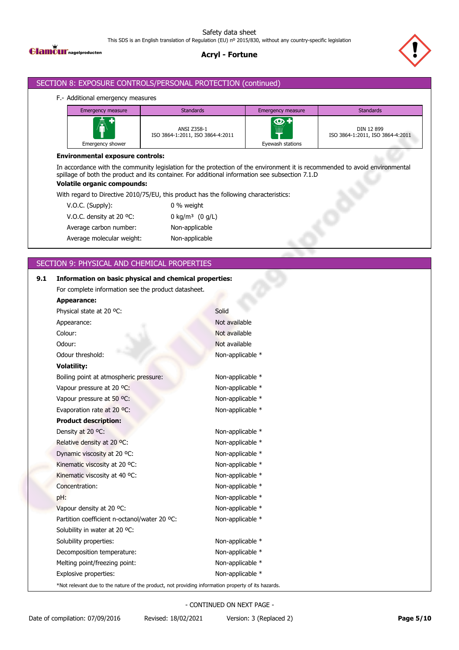

# **Acryl - Fortune**



### SECTION 8: EXPOSURE CONTROLS/PERSONAL PROTECTION (continued)

### F.- Additional emergency measures

| <b>Emergency measure</b>    | <b>Standards</b>                                |                                                  | <b>Standards</b>                               |
|-----------------------------|-------------------------------------------------|--------------------------------------------------|------------------------------------------------|
| AV<br>Ш<br>Emergency shower | ANSI Z358-1<br>ISO 3864-1:2011, ISO 3864-4:2011 | $\overline{\mathbf{Q}}$<br>W<br>Eyewash stations | DIN 12 899<br>ISO 3864-1:2011, ISO 3864-4:2011 |

### **Environmental exposure controls:**

In accordance with the community legislation for the protection of the environment it is recommended to avoid environmental spillage of both the product and its container. For additional information see subsection 7.1.D

## **Volatile organic compounds:**

With regard to Directive 2010/75/EU, this product has the following characteristics:

| V.O.C. (Supply):          | 0 % weight                  |
|---------------------------|-----------------------------|
| V.O.C. density at 20 °C.  | 0 kg/m <sup>3</sup> (0 g/L) |
| Average carbon number:    | Non-applicable              |
| Average molecular weight: | Non-applicable              |
|                           |                             |

# SECTION 9: PHYSICAL AND CHEMICAL PROPERTIES

| 9.1 | Information on basic physical and chemical properties:                                             |                  |
|-----|----------------------------------------------------------------------------------------------------|------------------|
|     | For complete information see the product datasheet.                                                |                  |
|     | <b>Appearance:</b>                                                                                 |                  |
|     | Physical state at 20 °C:                                                                           | Solid            |
|     | Appearance:                                                                                        | Not available    |
|     | Colour:                                                                                            | Not available    |
|     | Odour:                                                                                             | Not available    |
|     | Odour threshold:                                                                                   | Non-applicable * |
|     | <b>Volatility:</b>                                                                                 |                  |
|     | Boiling point at atmospheric pressure:                                                             | Non-applicable * |
|     | Vapour pressure at 20 °C:                                                                          | Non-applicable * |
|     | Vapour pressure at 50 °C:                                                                          | Non-applicable * |
|     | Evaporation rate at 20 °C:                                                                         | Non-applicable * |
|     | <b>Product description:</b>                                                                        |                  |
|     | Density at 20 °C:                                                                                  | Non-applicable * |
|     | Relative density at 20 °C:                                                                         | Non-applicable * |
|     | Dynamic viscosity at 20 °C:                                                                        | Non-applicable * |
|     | Kinematic viscosity at 20 °C:                                                                      | Non-applicable * |
|     | Kinematic viscosity at 40 °C:                                                                      | Non-applicable * |
|     | Concentration:                                                                                     | Non-applicable * |
|     | pH:                                                                                                | Non-applicable * |
|     | Vapour density at 20 °C:                                                                           | Non-applicable * |
|     | Partition coefficient n-octanol/water 20 °C:                                                       | Non-applicable * |
|     | Solubility in water at 20 °C:                                                                      |                  |
|     | Solubility properties:                                                                             | Non-applicable * |
|     | Decomposition temperature:                                                                         | Non-applicable * |
|     | Melting point/freezing point:                                                                      | Non-applicable * |
|     | Explosive properties:                                                                              | Non-applicable * |
|     | *Not relevant due to the nature of the product, not providing information property of its hazards. |                  |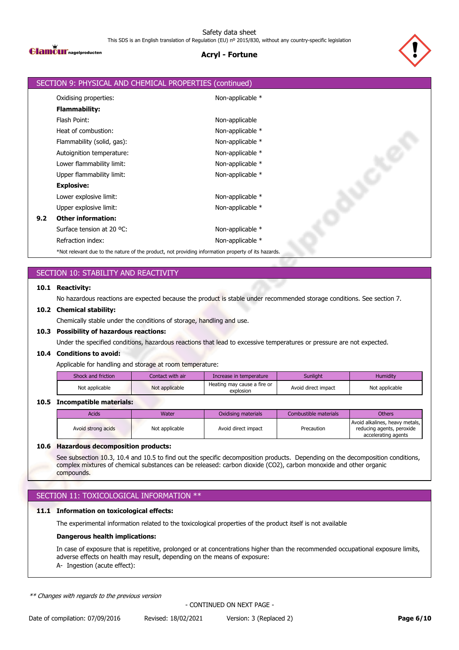

# **Acryl - Fortune**



|     | SECTION 9: PHYSICAL AND CHEMICAL PROPERTIES (continued)                                            |                  |
|-----|----------------------------------------------------------------------------------------------------|------------------|
|     | Oxidising properties:                                                                              | Non-applicable * |
|     | <b>Flammability:</b>                                                                               |                  |
|     | Flash Point:                                                                                       | Non-applicable   |
|     | Heat of combustion:                                                                                | Non-applicable * |
|     | Flammability (solid, gas):                                                                         | Non-applicable * |
|     | Autoignition temperature:                                                                          | Non-applicable * |
|     | Lower flammability limit:                                                                          | Non-applicable * |
|     | Upper flammability limit:                                                                          | Non-applicable * |
|     | <b>Explosive:</b>                                                                                  |                  |
|     | Lower explosive limit:                                                                             | Non-applicable * |
|     | Upper explosive limit:                                                                             | Non-applicable * |
| 9.2 | <b>Other information:</b>                                                                          |                  |
|     | Surface tension at 20 °C:                                                                          | Non-applicable * |
|     | Refraction index:                                                                                  | Non-applicable * |
|     | *Not relevant due to the nature of the product, not providing information property of its hazards. |                  |

# SECTION 10: STABILITY AND REACTIVITY

### **10.1 Reactivity:**

No hazardous reactions are expected because the product is stable under recommended storage conditions. See section 7.

### **10.2 Chemical stability:**

Chemically stable under the conditions of storage, handling and use.

#### **10.3 Possibility of hazardous reactions:**

Under the specified conditions, hazardous reactions that lead to excessive temperatures or pressure are not expected.

#### **10.4 Conditions to avoid:**

Applicable for handling and storage at room temperature:

| Shock and friction | Contact with air | Increase in temperature                  | Sunliaht            | Humidity       |
|--------------------|------------------|------------------------------------------|---------------------|----------------|
| Not applicable     | Not applicable   | Heating may cause a fire or<br>explosion | Avoid direct impact | Not applicable |

### **10.5 Incompatible materials:**

| Acids              | Water          | Oxidising materials | Combustible materials | <b>Others</b>                                                                      |
|--------------------|----------------|---------------------|-----------------------|------------------------------------------------------------------------------------|
| Avoid strong acids | Not applicable | Avoid direct impact | Precaution            | Avoid alkalines, heavy metals,<br>reducing agents, peroxide<br>accelerating agents |

#### **10.6 Hazardous decomposition products:**

See subsection 10.3, 10.4 and 10.5 to find out the specific decomposition products. Depending on the decomposition conditions, complex mixtures of chemical substances can be released: carbon dioxide (CO2), carbon monoxide and other organic compounds.

# SECTION 11: TOXICOLOGICAL INFORMATION \*\*

### **11.1 Information on toxicological effects:**

The experimental information related to the toxicological properties of the product itself is not available

### **Dangerous health implications:**

In case of exposure that is repetitive, prolonged or at concentrations higher than the recommended occupational exposure limits, adverse effects on health may result, depending on the means of exposure: A- Ingestion (acute effect):

*\*\* Changes with regards to the previous version*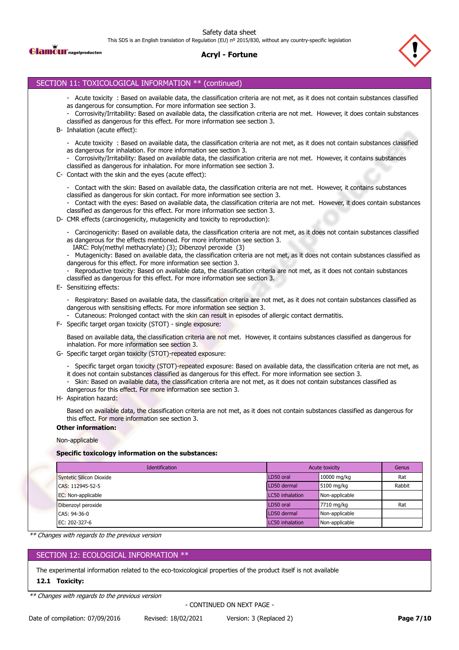Safety data sheet

This SDS is an English translation of Regulation (EU) nº 2015/830, without any country-specific legislation



### **Acryl - Fortune**



### SECTION 11: TOXICOLOGICAL INFORMATION \*\* (continued)

- Acute toxicity : Based on available data, the classification criteria are not met, as it does not contain substances classified as dangerous for consumption. For more information see section 3.
- Corrosivity/Irritability: Based on available data, the classification criteria are not met. However, it does contain substances classified as dangerous for this effect. For more information see section 3.
- B- Inhalation (acute effect):
	- Acute toxicity : Based on available data, the classification criteria are not met, as it does not contain substances classified as dangerous for inhalation. For more information see section 3.
	- Corrosivity/Irritability: Based on available data, the classification criteria are not met. However, it contains substances classified as dangerous for inhalation. For more information see section 3.
- C- Contact with the skin and the eyes (acute effect):

- Contact with the skin: Based on available data, the classification criteria are not met. However, it contains substances classified as dangerous for skin contact. For more information see section 3.

Contact with the eyes: Based on available data, the classification criteria are not met. However, it does contain substances classified as dangerous for this effect. For more information see section 3.

D- CMR effects (carcinogenicity, mutagenicity and toxicity to reproduction):

- Carcinogenicity: Based on available data, the classification criteria are not met, as it does not contain substances classified as dangerous for the effects mentioned. For more information see section 3.

IARC: Poly(methyl methacrylate) (3); Dibenzoyl peroxide (3)

- Mutagenicity: Based on available data, the classification criteria are not met, as it does not contain substances classified as dangerous for this effect. For more information see section 3.

Reproductive toxicity: Based on available data, the classification criteria are not met, as it does not contain substances classified as dangerous for this effect. For more information see section 3.

E- Sensitizing effects:

- Respiratory: Based on available data, the classification criteria are not met, as it does not contain substances classified as dangerous with sensitising effects. For more information see section 3.

- Cutaneous: Prolonged contact with the skin can result in episodes of allergic contact dermatitis.
- F- Specific target organ toxicity (STOT) single exposure:

Based on available data, the classification criteria are not met. However, it contains substances classified as dangerous for inhalation. For more information see section 3.

- G- Specific target organ toxicity (STOT)-repeated exposure:
	- Specific target organ toxicity (STOT)-repeated exposure: Based on available data, the classification criteria are not met, as
	- it does not contain substances classified as dangerous for this effect. For more information see section 3.
	- Skin: Based on available data, the classification criteria are not met, as it does not contain substances classified as
	- dangerous for this effect. For more information see section 3.
- H- Aspiration hazard:

Based on available data, the classification criteria are not met, as it does not contain substances classified as dangerous for this effect. For more information see section 3.

#### **Other information:**

#### Non-applicable

#### **Specific toxicology information on the substances:**

| <b>Identification</b>           | Acute toxicity  |                | Genus  |
|---------------------------------|-----------------|----------------|--------|
| <b>Syntetic Silicon Dioxide</b> | LD50 oral       | 10000 mg/kg    | Rat    |
| CAS: 112945-52-5                | LD50 dermal     | 5100 mg/kg     | Rabbit |
| EC: Non-applicable              | LC50 inhalation | Non-applicable |        |
| Dibenzoyl peroxide              | LD50 oral       | 7710 mg/kg     | Rat    |
| CAS: 94-36-0                    | LD50 dermal     | Non-applicable |        |
| EC: 202-327-6                   | LC50 inhalation | Non-applicable |        |

*\*\* Changes with regards to the previous version*

## SECTION 12: ECOLOGICAL INFORMATION \*\*

The experimental information related to the eco-toxicological properties of the product itself is not available

#### **12.1 Toxicity:**

*\*\* Changes with regards to the previous version*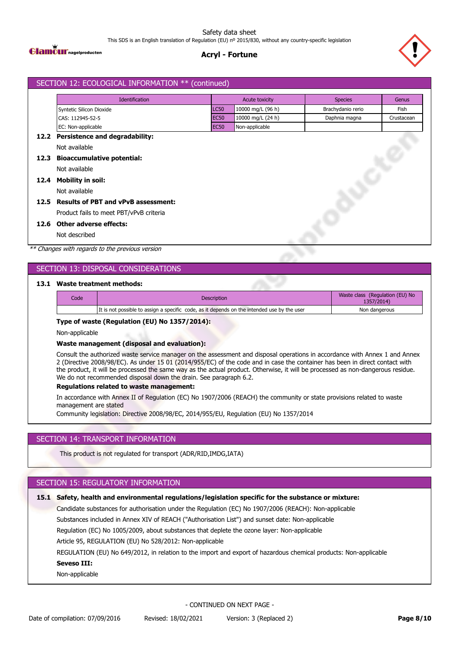

# **Acryl - Fortune**



# SECTION 12: ECOLOGICAL INFORMATION \*\* (continued) Identification **Acute toxicity** Acute toxicity Species Genus Syntetic Silicon Dioxide **LC50** 10000 mg/L (96 h) Brachydanio rerio Fish CAS: 112945-52-5 EC50 10000 mg/L (24 h) Daphnia magna Crustacean EC: Non-applicable **EC50** Non-applicable **12.2 Persistence and degradability:** Not available **12.3 Bioaccumulative potential:** Not available **12.4 Mobility in soil:** Not available **12.5 Results of PBT and vPvB assessment:** Product fails to meet PBT/vPvB criteria **12.6 Other adverse effects:** Not described

*\*\* Changes with regards to the previous version*

# SECTION 13: DISPOSAL CONSIDERATIONS

### **13.1 Waste treatment methods:**

| Code | <b>Description</b>                                                                          | Waste class (Regulation (EU) No<br>1357/2014) |
|------|---------------------------------------------------------------------------------------------|-----------------------------------------------|
|      | It is not possible to assign a specific code, as it depends on the intended use by the user | Non dangerous                                 |
|      |                                                                                             |                                               |

#### **Type of waste (Regulation (EU) No 1357/2014):**

Non-applicable

#### **Waste management (disposal and evaluation):**

Consult the authorized waste service manager on the assessment and disposal operations in accordance with Annex 1 and Annex 2 (Directive 2008/98/EC). As under 15 01 (2014/955/EC) of the code and in case the container has been in direct contact with the product, it will be processed the same way as the actual product. Otherwise, it will be processed as non-dangerous residue. We do not recommended disposal down the drain. See paragraph 6.2.

#### **Regulations related to waste management:**

In accordance with Annex II of Regulation (EC) No 1907/2006 (REACH) the community or state provisions related to waste management are stated

Community legislation: Directive 2008/98/EC, 2014/955/EU, Regulation (EU) No 1357/2014

### SECTION 14: TRANSPORT INFORMATION

This product is not regulated for transport (ADR/RID,IMDG,IATA)

### SECTION 15: REGULATORY INFORMATION

Candidate substances for authorisation under the Regulation (EC) No 1907/2006 (REACH): Non-applicable Substances included in Annex XIV of REACH ("Authorisation List") and sunset date: Non-applicable Regulation (EC) No 1005/2009, about substances that deplete the ozone layer: Non-applicable Article 95, REGULATION (EU) No 528/2012: Non-applicable REGULATION (EU) No 649/2012, in relation to the import and export of hazardous chemical products: Non-applicable **15.1 Safety, health and environmental regulations/legislation specific for the substance or mixture: Seveso III:** Non-applicable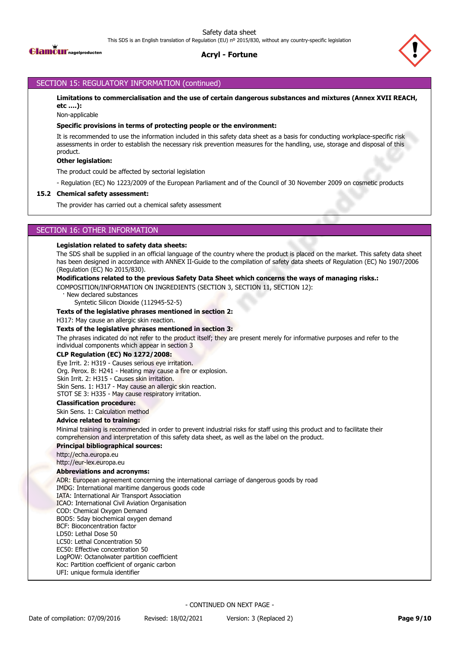



## SECTION 15: REGULATORY INFORMATION (continued)

**Limitations to commercialisation and the use of certain dangerous substances and mixtures (Annex XVII REACH, etc ….):**

Non-applicable

#### **Specific provisions in terms of protecting people or the environment:**

It is recommended to use the information included in this safety data sheet as a basis for conducting workplace-specific risk assessments in order to establish the necessary risk prevention measures for the handling, use, storage and disposal of this product.

#### **Other legislation:**

The product could be affected by sectorial legislation

- Regulation (EC) No 1223/2009 of the European Parliament and of the Council of 30 November 2009 on cosmetic products

#### **15.2 Chemical safety assessment:**

The provider has carried out a chemical safety assessment

### SECTION 16: OTHER INFORMATION

#### **Legislation related to safety data sheets:**

The SDS shall be supplied in an official language of the country where the product is placed on the market. This safety data sheet has been designed in accordance with ANNEX II-Guide to the compilation of safety data sheets of Regulation (EC) No 1907/2006 (Regulation (EC) No 2015/830).

#### **Modifications related to the previous Safety Data Sheet which concerns the ways of managing risks.:**

COMPOSITION/INFORMATION ON INGREDIENTS (SECTION 3, SECTION 11, SECTION 12):

New declared substances

Syntetic Silicon Dioxide (112945-52-5)

#### **Texts of the legislative phrases mentioned in section 2:**

H317: May cause an allergic skin reaction.

#### **Texts of the legislative phrases mentioned in section 3:**

The phrases indicated do not refer to the product itself; they are present merely for informative purposes and refer to the individual components which appear in section 3

#### **CLP Regulation (EC) No 1272/2008:**

Eye Irrit. 2: H319 - Causes serious eye irritation. Org. Perox. B: H241 - Heating may cause a fire or explosion. Skin Irrit. 2: H315 - Causes skin irritation. Skin Sens. 1: H317 - May cause an allergic skin reaction.

STOT SE 3: H335 - May cause respiratory irritation.

### **Classification procedure:**

Skin Sens. 1: Calculation method

### **Advice related to training:**

Minimal training is recommended in order to prevent industrial risks for staff using this product and to facilitate their comprehension and interpretation of this safety data sheet, as well as the label on the product.

#### **Principal bibliographical sources:**

http://echa.europa.eu

http://eur-lex.europa.eu

#### **Abbreviations and acronyms:**

ADR: European agreement concerning the international carriage of dangerous goods by road

IMDG: International maritime dangerous goods code

IATA: International Air Transport Association

ICAO: International Civil Aviation Organisation

COD: Chemical Oxygen Demand

BOD5: 5day biochemical oxygen demand

BCF: Bioconcentration factor LD50: Lethal Dose 50

LC50: Lethal Concentration 50

EC50: Effective concentration 50

LogPOW: Octanolwater partition coefficient Koc: Partition coefficient of organic carbon

UFI: unique formula identifier